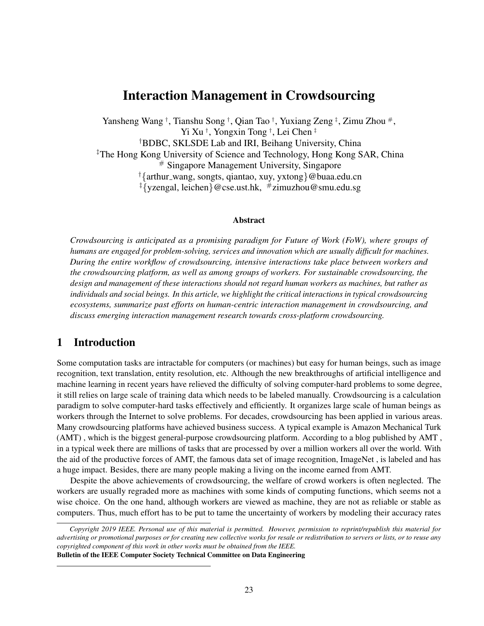## Interaction Management in Crowdsourcing

Yansheng Wang †, Tianshu Song †, Qian Tao †, Yuxiang Zeng ‡, Zimu Zhou #, Yi Xu † , Yongxin Tong † , Lei Chen ‡ †BDBC, SKLSDE Lab and IRI, Beihang University, China ‡The Hong Kong University of Science and Technology, Hong Kong SAR, China # Singapore Management University, Singapore †{arthur wang, songts, qiantao, xuy, yxtong}@buaa.edu.cn <sup>‡</sup>{yzengal, leichen}@cse.ust.hk,  $\#$ zimuzhou@smu.edu.sg

#### Abstract

*Crowdsourcing is anticipated as a promising paradigm for Future of Work (FoW), where groups of humans are engaged for problem-solving, services and innovation which are usually difficult for machines. During the entire workflow of crowdsourcing, intensive interactions take place between workers and the crowdsourcing platform, as well as among groups of workers. For sustainable crowdsourcing, the design and management of these interactions should not regard human workers as machines, but rather as individuals and social beings. In this article, we highlight the critical interactions in typical crowdsourcing ecosystems, summarize past efforts on human-centric interaction management in crowdsourcing, and discuss emerging interaction management research towards cross-platform crowdsourcing.*

## 1 Introduction

Some computation tasks are intractable for computers (or machines) but easy for human beings, such as image recognition, text translation, entity resolution, etc. Although the new breakthroughs of artificial intelligence and machine learning in recent years have relieved the difficulty of solving computer-hard problems to some degree, it still relies on large scale of training data which needs to be labeled manually. Crowdsourcing is a calculation paradigm to solve computer-hard tasks effectively and efficiently. It organizes large scale of human beings as workers through the Internet to solve problems. For decades, crowdsourcing has been applied in various areas. Many crowdsourcing platforms have achieved business success. A typical example is Amazon Mechanical Turk (AMT) , which is the biggest general-purpose crowdsourcing platform. According to a blog published by AMT , in a typical week there are millions of tasks that are processed by over a million workers all over the world. With the aid of the productive forces of AMT, the famous data set of image recognition, ImageNet , is labeled and has a huge impact. Besides, there are many people making a living on the income earned from AMT.

Despite the above achievements of crowdsourcing, the welfare of crowd workers is often neglected. The workers are usually regraded more as machines with some kinds of computing functions, which seems not a wise choice. On the one hand, although workers are viewed as machine, they are not as reliable or stable as computers. Thus, much effort has to be put to tame the uncertainty of workers by modeling their accuracy rates

Bulletin of the IEEE Computer Society Technical Committee on Data Engineering

*Copyright 2019 IEEE. Personal use of this material is permitted. However, permission to reprint/republish this material for advertising or promotional purposes or for creating new collective works for resale or redistribution to servers or lists, or to reuse any copyrighted component of this work in other works must be obtained from the IEEE.*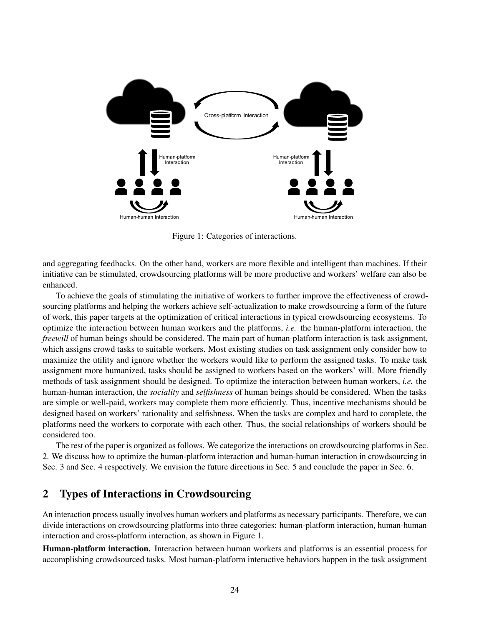

Figure 1: Categories of interactions.

and aggregating feedbacks. On the other hand, workers are more flexible and intelligent than machines. If their initiative can be stimulated, crowdsourcing platforms will be more productive and workers' welfare can also be enhanced.

To achieve the goals of stimulating the initiative of workers to further improve the effectiveness of crowdsourcing platforms and helping the workers achieve self-actualization to make crowdsourcing a form of the future of work, this paper targets at the optimization of critical interactions in typical crowdsourcing ecosystems. To optimize the interaction between human workers and the platforms, *i.e.* the human-platform interaction, the *freewill* of human beings should be considered. The main part of human-platform interaction is task assignment, which assigns crowd tasks to suitable workers. Most existing studies on task assignment only consider how to maximize the utility and ignore whether the workers would like to perform the assigned tasks. To make task assignment more humanized, tasks should be assigned to workers based on the workers' will. More friendly methods of task assignment should be designed. To optimize the interaction between human workers, *i.e.* the human-human interaction, the *sociality* and *selfishness* of human beings should be considered. When the tasks are simple or well-paid, workers may complete them more efficiently. Thus, incentive mechanisms should be designed based on workers' rationality and selfishness. When the tasks are complex and hard to complete, the platforms need the workers to corporate with each other. Thus, the social relationships of workers should be considered too.

The rest of the paper is organized as follows. We categorize the interactions on crowdsourcing platforms in Sec. 2. We discuss how to optimize the human-platform interaction and human-human interaction in crowdsourcing in Sec. 3 and Sec. 4 respectively. We envision the future directions in Sec. 5 and conclude the paper in Sec. 6.

## 2 Types of Interactions in Crowdsourcing

An interaction process usually involves human workers and platforms as necessary participants. Therefore, we can divide interactions on crowdsourcing platforms into three categories: human-platform interaction, human-human interaction and cross-platform interaction, as shown in Figure 1.

Human-platform interaction. Interaction between human workers and platforms is an essential process for accomplishing crowdsourced tasks. Most human-platform interactive behaviors happen in the task assignment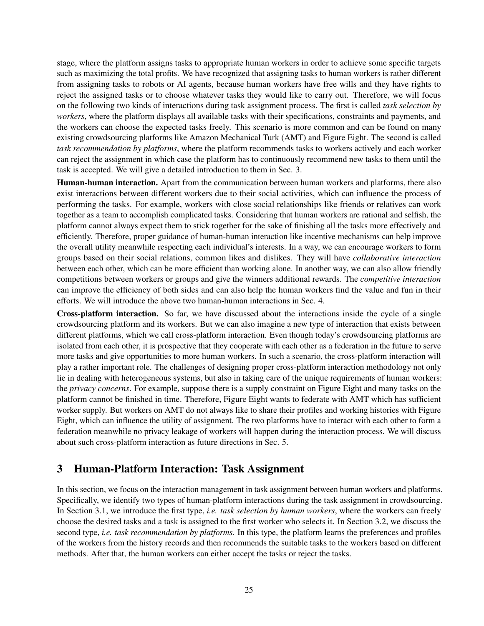stage, where the platform assigns tasks to appropriate human workers in order to achieve some specific targets such as maximizing the total profits. We have recognized that assigning tasks to human workers is rather different from assigning tasks to robots or AI agents, because human workers have free wills and they have rights to reject the assigned tasks or to choose whatever tasks they would like to carry out. Therefore, we will focus on the following two kinds of interactions during task assignment process. The first is called *task selection by workers*, where the platform displays all available tasks with their specifications, constraints and payments, and the workers can choose the expected tasks freely. This scenario is more common and can be found on many existing crowdsourcing platforms like Amazon Mechanical Turk (AMT) and Figure Eight. The second is called *task recommendation by platforms*, where the platform recommends tasks to workers actively and each worker can reject the assignment in which case the platform has to continuously recommend new tasks to them until the task is accepted. We will give a detailed introduction to them in Sec. 3.

Human-human interaction. Apart from the communication between human workers and platforms, there also exist interactions between different workers due to their social activities, which can influence the process of performing the tasks. For example, workers with close social relationships like friends or relatives can work together as a team to accomplish complicated tasks. Considering that human workers are rational and selfish, the platform cannot always expect them to stick together for the sake of finishing all the tasks more effectively and efficiently. Therefore, proper guidance of human-human interaction like incentive mechanisms can help improve the overall utility meanwhile respecting each individual's interests. In a way, we can encourage workers to form groups based on their social relations, common likes and dislikes. They will have *collaborative interaction* between each other, which can be more efficient than working alone. In another way, we can also allow friendly competitions between workers or groups and give the winners additional rewards. The *competitive interaction* can improve the efficiency of both sides and can also help the human workers find the value and fun in their efforts. We will introduce the above two human-human interactions in Sec. 4.

Cross-platform interaction. So far, we have discussed about the interactions inside the cycle of a single crowdsourcing platform and its workers. But we can also imagine a new type of interaction that exists between different platforms, which we call cross-platform interaction. Even though today's crowdsourcing platforms are isolated from each other, it is prospective that they cooperate with each other as a federation in the future to serve more tasks and give opportunities to more human workers. In such a scenario, the cross-platform interaction will play a rather important role. The challenges of designing proper cross-platform interaction methodology not only lie in dealing with heterogeneous systems, but also in taking care of the unique requirements of human workers: the *privacy concerns*. For example, suppose there is a supply constraint on Figure Eight and many tasks on the platform cannot be finished in time. Therefore, Figure Eight wants to federate with AMT which has sufficient worker supply. But workers on AMT do not always like to share their profiles and working histories with Figure Eight, which can influence the utility of assignment. The two platforms have to interact with each other to form a federation meanwhile no privacy leakage of workers will happen during the interaction process. We will discuss about such cross-platform interaction as future directions in Sec. 5.

## 3 Human-Platform Interaction: Task Assignment

In this section, we focus on the interaction management in task assignment between human workers and platforms. Specifically, we identify two types of human-platform interactions during the task assignment in crowdsourcing. In Section 3.1, we introduce the first type, *i.e. task selection by human workers*, where the workers can freely choose the desired tasks and a task is assigned to the first worker who selects it. In Section 3.2, we discuss the second type, *i.e. task recommendation by platforms*. In this type, the platform learns the preferences and profiles of the workers from the history records and then recommends the suitable tasks to the workers based on different methods. After that, the human workers can either accept the tasks or reject the tasks.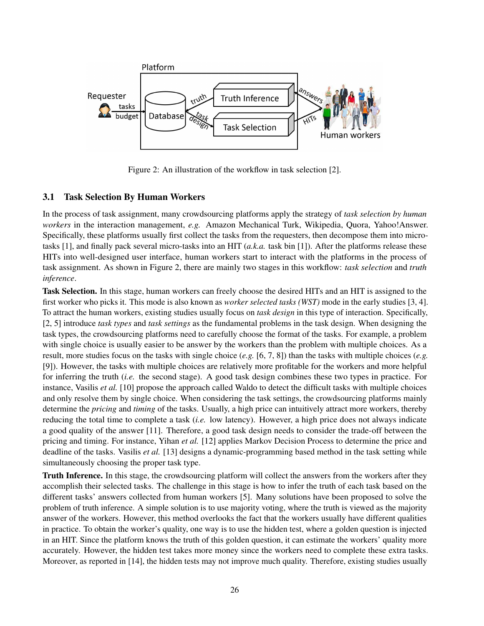

Figure 2: An illustration of the workflow in task selection [2].

#### 3.1 Task Selection By Human Workers

In the process of task assignment, many crowdsourcing platforms apply the strategy of *task selection by human workers* in the interaction management, *e.g.* Amazon Mechanical Turk, Wikipedia, Quora, Yahoo!Answer. Specifically, these platforms usually first collect the tasks from the requesters, then decompose them into microtasks [1], and finally pack several micro-tasks into an HIT (*a.k.a.* task bin [1]). After the platforms release these HITs into well-designed user interface, human workers start to interact with the platforms in the process of task assignment. As shown in Figure 2, there are mainly two stages in this workflow: *task selection* and *truth inference*.

Task Selection. In this stage, human workers can freely choose the desired HITs and an HIT is assigned to the first worker who picks it. This mode is also known as *worker selected tasks (WST)* mode in the early studies [3, 4]. To attract the human workers, existing studies usually focus on *task design* in this type of interaction. Specifically, [2, 5] introduce *task types* and *task settings* as the fundamental problems in the task design. When designing the task types, the crowdsourcing platforms need to carefully choose the format of the tasks. For example, a problem with single choice is usually easier to be answer by the workers than the problem with multiple choices. As a result, more studies focus on the tasks with single choice (*e.g.* [6, 7, 8]) than the tasks with multiple choices (*e.g.* [9]). However, the tasks with multiple choices are relatively more profitable for the workers and more helpful for inferring the truth (*i.e.* the second stage). A good task design combines these two types in practice. For instance, Vasilis *et al.* [10] propose the approach called Waldo to detect the difficult tasks with multiple choices and only resolve them by single choice. When considering the task settings, the crowdsourcing platforms mainly determine the *pricing* and *timing* of the tasks. Usually, a high price can intuitively attract more workers, thereby reducing the total time to complete a task (*i.e.* low latency). However, a high price does not always indicate a good quality of the answer [11]. Therefore, a good task design needs to consider the trade-off between the pricing and timing. For instance, Yihan *et al.* [12] applies Markov Decision Process to determine the price and deadline of the tasks. Vasilis *et al.* [13] designs a dynamic-programming based method in the task setting while simultaneously choosing the proper task type.

Truth Inference. In this stage, the crowdsourcing platform will collect the answers from the workers after they accomplish their selected tasks. The challenge in this stage is how to infer the truth of each task based on the different tasks' answers collected from human workers [5]. Many solutions have been proposed to solve the problem of truth inference. A simple solution is to use majority voting, where the truth is viewed as the majority answer of the workers. However, this method overlooks the fact that the workers usually have different qualities in practice. To obtain the worker's quality, one way is to use the hidden test, where a golden question is injected in an HIT. Since the platform knows the truth of this golden question, it can estimate the workers' quality more accurately. However, the hidden test takes more money since the workers need to complete these extra tasks. Moreover, as reported in [14], the hidden tests may not improve much quality. Therefore, existing studies usually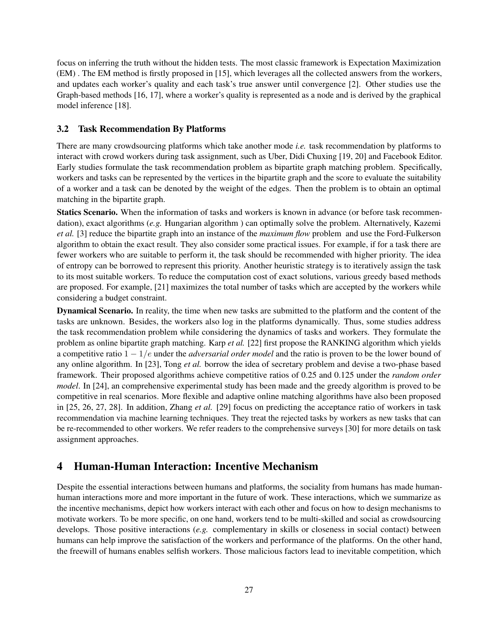focus on inferring the truth without the hidden tests. The most classic framework is Expectation Maximization (EM) . The EM method is firstly proposed in [15], which leverages all the collected answers from the workers, and updates each worker's quality and each task's true answer until convergence [2]. Other studies use the Graph-based methods [16, 17], where a worker's quality is represented as a node and is derived by the graphical model inference [18].

### 3.2 Task Recommendation By Platforms

There are many crowdsourcing platforms which take another mode *i.e.* task recommendation by platforms to interact with crowd workers during task assignment, such as Uber, Didi Chuxing [19, 20] and Facebook Editor. Early studies formulate the task recommendation problem as bipartite graph matching problem. Specifically, workers and tasks can be represented by the vertices in the bipartite graph and the score to evaluate the suitability of a worker and a task can be denoted by the weight of the edges. Then the problem is to obtain an optimal matching in the bipartite graph.

Statics Scenario. When the information of tasks and workers is known in advance (or before task recommendation), exact algorithms (*e.g.* Hungarian algorithm ) can optimally solve the problem. Alternatively, Kazemi *et al.* [3] reduce the bipartite graph into an instance of the *maximum flow* problem and use the Ford-Fulkerson algorithm to obtain the exact result. They also consider some practical issues. For example, if for a task there are fewer workers who are suitable to perform it, the task should be recommended with higher priority. The idea of entropy can be borrowed to represent this priority. Another heuristic strategy is to iteratively assign the task to its most suitable workers. To reduce the computation cost of exact solutions, various greedy based methods are proposed. For example, [21] maximizes the total number of tasks which are accepted by the workers while considering a budget constraint.

Dynamical Scenario. In reality, the time when new tasks are submitted to the platform and the content of the tasks are unknown. Besides, the workers also log in the platforms dynamically. Thus, some studies address the task recommendation problem while considering the dynamics of tasks and workers. They formulate the problem as online bipartite graph matching. Karp *et al.* [22] first propose the RANKING algorithm which yields a competitive ratio 1 − 1/e under the *adversarial order model* and the ratio is proven to be the lower bound of any online algorithm. In [23], Tong *et al.* borrow the idea of secretary problem and devise a two-phase based framework. Their proposed algorithms achieve competitive ratios of 0.25 and 0.125 under the *random order model*. In [24], an comprehensive experimental study has been made and the greedy algorithm is proved to be competitive in real scenarios. More flexible and adaptive online matching algorithms have also been proposed in [25, 26, 27, 28]. In addition, Zhang *et al.* [29] focus on predicting the acceptance ratio of workers in task recommendation via machine learning techniques. They treat the rejected tasks by workers as new tasks that can be re-recommended to other workers. We refer readers to the comprehensive surveys [30] for more details on task assignment approaches.

# 4 Human-Human Interaction: Incentive Mechanism

Despite the essential interactions between humans and platforms, the sociality from humans has made humanhuman interactions more and more important in the future of work. These interactions, which we summarize as the incentive mechanisms, depict how workers interact with each other and focus on how to design mechanisms to motivate workers. To be more specific, on one hand, workers tend to be multi-skilled and social as crowdsourcing develops. Those positive interactions (*e.g.* complementary in skills or closeness in social contact) between humans can help improve the satisfaction of the workers and performance of the platforms. On the other hand, the freewill of humans enables selfish workers. Those malicious factors lead to inevitable competition, which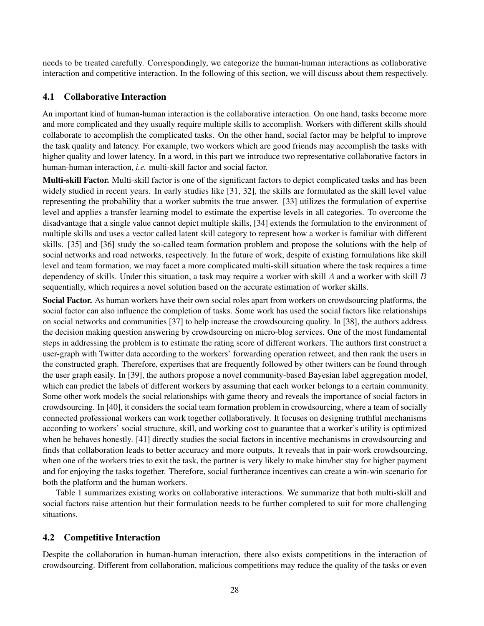needs to be treated carefully. Correspondingly, we categorize the human-human interactions as collaborative interaction and competitive interaction. In the following of this section, we will discuss about them respectively.

#### 4.1 Collaborative Interaction

An important kind of human-human interaction is the collaborative interaction. On one hand, tasks become more and more complicated and they usually require multiple skills to accomplish. Workers with different skills should collaborate to accomplish the complicated tasks. On the other hand, social factor may be helpful to improve the task quality and latency. For example, two workers which are good friends may accomplish the tasks with higher quality and lower latency. In a word, in this part we introduce two representative collaborative factors in human-human interaction, *i.e.* multi-skill factor and social factor.

Multi-skill Factor. Multi-skill factor is one of the significant factors to depict complicated tasks and has been widely studied in recent years. In early studies like [31, 32], the skills are formulated as the skill level value representing the probability that a worker submits the true answer. [33] utilizes the formulation of expertise level and applies a transfer learning model to estimate the expertise levels in all categories. To overcome the disadvantage that a single value cannot depict multiple skills, [34] extends the formulation to the environment of multiple skills and uses a vector called latent skill category to represent how a worker is familiar with different skills. [35] and [36] study the so-called team formation problem and propose the solutions with the help of social networks and road networks, respectively. In the future of work, despite of existing formulations like skill level and team formation, we may facet a more complicated multi-skill situation where the task requires a time dependency of skills. Under this situation, a task may require a worker with skill  $A$  and a worker with skill  $B$ sequentially, which requires a novel solution based on the accurate estimation of worker skills.

Social Factor. As human workers have their own social roles apart from workers on crowdsourcing platforms, the social factor can also influence the completion of tasks. Some work has used the social factors like relationships on social networks and communities [37] to help increase the crowdsourcing quality. In [38], the authors address the decision making question answering by crowdsourcing on micro-blog services. One of the most fundamental steps in addressing the problem is to estimate the rating score of different workers. The authors first construct a user-graph with Twitter data according to the workers' forwarding operation retweet, and then rank the users in the constructed graph. Therefore, expertises that are frequently followed by other twitters can be found through the user graph easily. In [39], the authors propose a novel community-based Bayesian label aggregation model, which can predict the labels of different workers by assuming that each worker belongs to a certain community. Some other work models the social relationships with game theory and reveals the importance of social factors in crowdsourcing. In [40], it considers the social team formation problem in crowdsourcing, where a team of socially connected professional workers can work together collaboratively. It focuses on designing truthful mechanisms according to workers' social structure, skill, and working cost to guarantee that a worker's utility is optimized when he behaves honestly. [41] directly studies the social factors in incentive mechanisms in crowdsourcing and finds that collaboration leads to better accuracy and more outputs. It reveals that in pair-work crowdsourcing, when one of the workers tries to exit the task, the partner is very likely to make him/her stay for higher payment and for enjoying the tasks together. Therefore, social furtherance incentives can create a win-win scenario for both the platform and the human workers.

Table 1 summarizes existing works on collaborative interactions. We summarize that both multi-skill and social factors raise attention but their formulation needs to be further completed to suit for more challenging situations.

#### 4.2 Competitive Interaction

Despite the collaboration in human-human interaction, there also exists competitions in the interaction of crowdsourcing. Different from collaboration, malicious competitions may reduce the quality of the tasks or even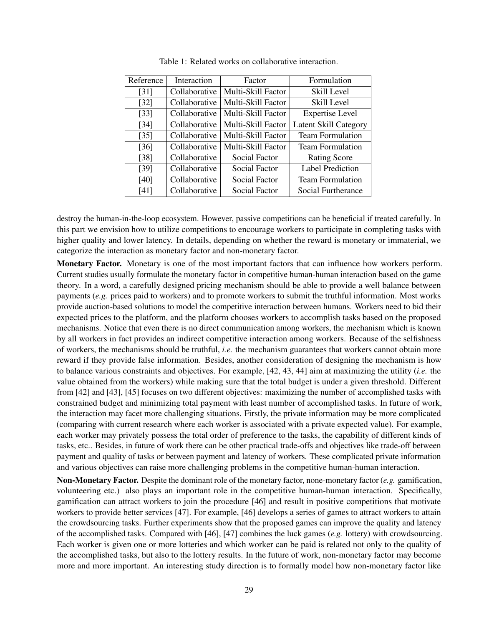| Reference          | Interaction   | Factor               | Formulation                  |
|--------------------|---------------|----------------------|------------------------------|
| $\lceil 31 \rceil$ | Collaborative | Multi-Skill Factor   | Skill Level                  |
| $[32]$             | Collaborative | Multi-Skill Factor   | Skill Level                  |
| $[33]$             | Collaborative | Multi-Skill Factor   | <b>Expertise</b> Level       |
| $[34]$             | Collaborative | Multi-Skill Factor   | <b>Latent Skill Category</b> |
| $[35]$             | Collaborative | Multi-Skill Factor   | <b>Team Formulation</b>      |
| [36]               | Collaborative | Multi-Skill Factor   | <b>Team Formulation</b>      |
| [38]               | Collaborative | <b>Social Factor</b> | <b>Rating Score</b>          |
| $[39]$             | Collaborative | Social Factor        | Label Prediction             |
| [40]               | Collaborative | Social Factor        | <b>Team Formulation</b>      |
| [41]               | Collaborative | Social Factor        | Social Furtherance           |

Table 1: Related works on collaborative interaction.

destroy the human-in-the-loop ecosystem. However, passive competitions can be beneficial if treated carefully. In this part we envision how to utilize competitions to encourage workers to participate in completing tasks with higher quality and lower latency. In details, depending on whether the reward is monetary or immaterial, we categorize the interaction as monetary factor and non-monetary factor.

Monetary Factor. Monetary is one of the most important factors that can influence how workers perform. Current studies usually formulate the monetary factor in competitive human-human interaction based on the game theory. In a word, a carefully designed pricing mechanism should be able to provide a well balance between payments (*e.g.* prices paid to workers) and to promote workers to submit the truthful information. Most works provide auction-based solutions to model the competitive interaction between humans. Workers need to bid their expected prices to the platform, and the platform chooses workers to accomplish tasks based on the proposed mechanisms. Notice that even there is no direct communication among workers, the mechanism which is known by all workers in fact provides an indirect competitive interaction among workers. Because of the selfishness of workers, the mechanisms should be truthful, *i.e.* the mechanism guarantees that workers cannot obtain more reward if they provide false information. Besides, another consideration of designing the mechanism is how to balance various constraints and objectives. For example, [42, 43, 44] aim at maximizing the utility (*i.e.* the value obtained from the workers) while making sure that the total budget is under a given threshold. Different from [42] and [43], [45] focuses on two different objectives: maximizing the number of accomplished tasks with constrained budget and minimizing total payment with least number of accomplished tasks. In future of work, the interaction may facet more challenging situations. Firstly, the private information may be more complicated (comparing with current research where each worker is associated with a private expected value). For example, each worker may privately possess the total order of preference to the tasks, the capability of different kinds of tasks, etc.. Besides, in future of work there can be other practical trade-offs and objectives like trade-off between payment and quality of tasks or between payment and latency of workers. These complicated private information and various objectives can raise more challenging problems in the competitive human-human interaction.

Non-Monetary Factor. Despite the dominant role of the monetary factor, none-monetary factor (*e.g.* gamification, volunteering etc.) also plays an important role in the competitive human-human interaction. Specifically, gamification can attract workers to join the procedure [46] and result in positive competitions that motivate workers to provide better services [47]. For example, [46] develops a series of games to attract workers to attain the crowdsourcing tasks. Further experiments show that the proposed games can improve the quality and latency of the accomplished tasks. Compared with [46], [47] combines the luck games (*e.g.* lottery) with crowdsourcing. Each worker is given one or more lotteries and which worker can be paid is related not only to the quality of the accomplished tasks, but also to the lottery results. In the future of work, non-monetary factor may become more and more important. An interesting study direction is to formally model how non-monetary factor like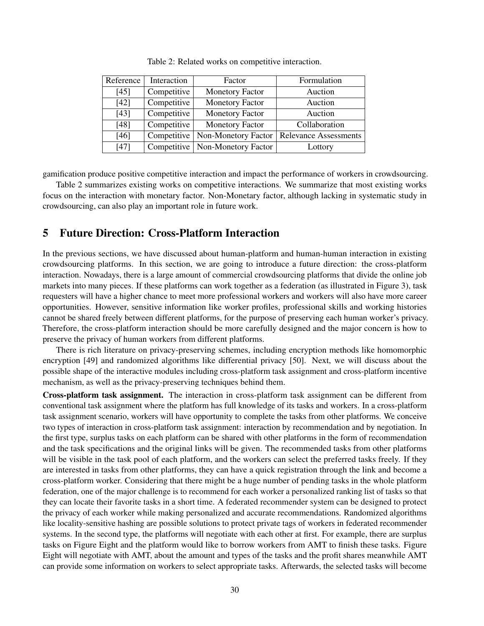| Reference | Interaction | Factor                            | Formulation                  |
|-----------|-------------|-----------------------------------|------------------------------|
| [45]      | Competitive | <b>Monetory Factor</b>            | Auction                      |
| $[42]$    | Competitive | Monetory Factor                   | Auction                      |
| $[43]$    | Competitive | <b>Monetory Factor</b>            | Auction                      |
| $[48]$    | Competitive | Monetory Factor                   | Collaboration                |
| $[46]$    | Competitive | Non-Monetory Factor               | <b>Relevance Assessments</b> |
| $[47]$    |             | Competitive   Non-Monetory Factor | Lottory                      |

Table 2: Related works on competitive interaction.

gamification produce positive competitive interaction and impact the performance of workers in crowdsourcing.

Table 2 summarizes existing works on competitive interactions. We summarize that most existing works focus on the interaction with monetary factor. Non-Monetary factor, although lacking in systematic study in crowdsourcing, can also play an important role in future work.

### 5 Future Direction: Cross-Platform Interaction

In the previous sections, we have discussed about human-platform and human-human interaction in existing crowdsourcing platforms. In this section, we are going to introduce a future direction: the cross-platform interaction. Nowadays, there is a large amount of commercial crowdsourcing platforms that divide the online job markets into many pieces. If these platforms can work together as a federation (as illustrated in Figure 3), task requesters will have a higher chance to meet more professional workers and workers will also have more career opportunities. However, sensitive information like worker profiles, professional skills and working histories cannot be shared freely between different platforms, for the purpose of preserving each human worker's privacy. Therefore, the cross-platform interaction should be more carefully designed and the major concern is how to preserve the privacy of human workers from different platforms.

There is rich literature on privacy-preserving schemes, including encryption methods like homomorphic encryption [49] and randomized algorithms like differential privacy [50]. Next, we will discuss about the possible shape of the interactive modules including cross-platform task assignment and cross-platform incentive mechanism, as well as the privacy-preserving techniques behind them.

Cross-platform task assignment. The interaction in cross-platform task assignment can be different from conventional task assignment where the platform has full knowledge of its tasks and workers. In a cross-platform task assignment scenario, workers will have opportunity to complete the tasks from other platforms. We conceive two types of interaction in cross-platform task assignment: interaction by recommendation and by negotiation. In the first type, surplus tasks on each platform can be shared with other platforms in the form of recommendation and the task specifications and the original links will be given. The recommended tasks from other platforms will be visible in the task pool of each platform, and the workers can select the preferred tasks freely. If they are interested in tasks from other platforms, they can have a quick registration through the link and become a cross-platform worker. Considering that there might be a huge number of pending tasks in the whole platform federation, one of the major challenge is to recommend for each worker a personalized ranking list of tasks so that they can locate their favorite tasks in a short time. A federated recommender system can be designed to protect the privacy of each worker while making personalized and accurate recommendations. Randomized algorithms like locality-sensitive hashing are possible solutions to protect private tags of workers in federated recommender systems. In the second type, the platforms will negotiate with each other at first. For example, there are surplus tasks on Figure Eight and the platform would like to borrow workers from AMT to finish these tasks. Figure Eight will negotiate with AMT, about the amount and types of the tasks and the profit shares meanwhile AMT can provide some information on workers to select appropriate tasks. Afterwards, the selected tasks will become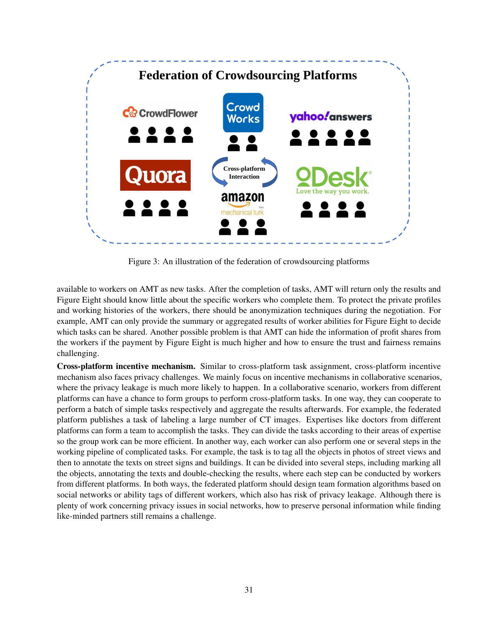

Figure 3: An illustration of the federation of crowdsourcing platforms

available to workers on AMT as new tasks. After the completion of tasks, AMT will return only the results and Figure Eight should know little about the specific workers who complete them. To protect the private profiles and working histories of the workers, there should be anonymization techniques during the negotiation. For example, AMT can only provide the summary or aggregated results of worker abilities for Figure Eight to decide which tasks can be shared. Another possible problem is that AMT can hide the information of profit shares from the workers if the payment by Figure Eight is much higher and how to ensure the trust and fairness remains challenging.

Cross-platform incentive mechanism. Similar to cross-platform task assignment, cross-platform incentive mechanism also faces privacy challenges. We mainly focus on incentive mechanisms in collaborative scenarios, where the privacy leakage is much more likely to happen. In a collaborative scenario, workers from different platforms can have a chance to form groups to perform cross-platform tasks. In one way, they can cooperate to perform a batch of simple tasks respectively and aggregate the results afterwards. For example, the federated platform publishes a task of labeling a large number of CT images. Expertises like doctors from different platforms can form a team to accomplish the tasks. They can divide the tasks according to their areas of expertise so the group work can be more efficient. In another way, each worker can also perform one or several steps in the working pipeline of complicated tasks. For example, the task is to tag all the objects in photos of street views and then to annotate the texts on street signs and buildings. It can be divided into several steps, including marking all the objects, annotating the texts and double-checking the results, where each step can be conducted by workers from different platforms. In both ways, the federated platform should design team formation algorithms based on social networks or ability tags of different workers, which also has risk of privacy leakage. Although there is plenty of work concerning privacy issues in social networks, how to preserve personal information while finding like-minded partners still remains a challenge.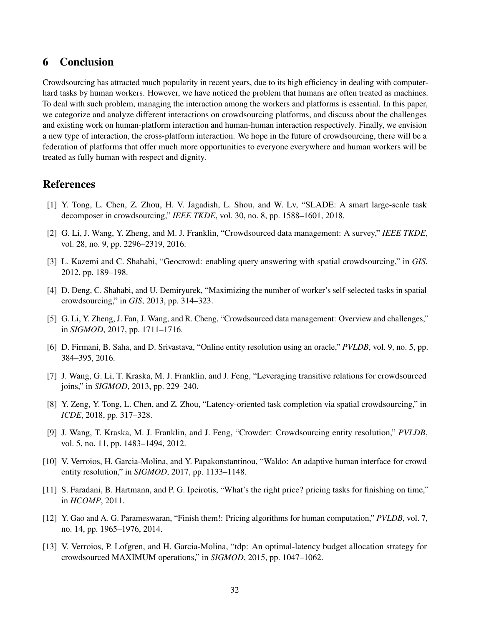## 6 Conclusion

Crowdsourcing has attracted much popularity in recent years, due to its high efficiency in dealing with computerhard tasks by human workers. However, we have noticed the problem that humans are often treated as machines. To deal with such problem, managing the interaction among the workers and platforms is essential. In this paper, we categorize and analyze different interactions on crowdsourcing platforms, and discuss about the challenges and existing work on human-platform interaction and human-human interaction respectively. Finally, we envision a new type of interaction, the cross-platform interaction. We hope in the future of crowdsourcing, there will be a federation of platforms that offer much more opportunities to everyone everywhere and human workers will be treated as fully human with respect and dignity.

### References

- [1] Y. Tong, L. Chen, Z. Zhou, H. V. Jagadish, L. Shou, and W. Lv, "SLADE: A smart large-scale task decomposer in crowdsourcing," *IEEE TKDE*, vol. 30, no. 8, pp. 1588–1601, 2018.
- [2] G. Li, J. Wang, Y. Zheng, and M. J. Franklin, "Crowdsourced data management: A survey," *IEEE TKDE*, vol. 28, no. 9, pp. 2296–2319, 2016.
- [3] L. Kazemi and C. Shahabi, "Geocrowd: enabling query answering with spatial crowdsourcing," in *GIS*, 2012, pp. 189–198.
- [4] D. Deng, C. Shahabi, and U. Demiryurek, "Maximizing the number of worker's self-selected tasks in spatial crowdsourcing," in *GIS*, 2013, pp. 314–323.
- [5] G. Li, Y. Zheng, J. Fan, J. Wang, and R. Cheng, "Crowdsourced data management: Overview and challenges," in *SIGMOD*, 2017, pp. 1711–1716.
- [6] D. Firmani, B. Saha, and D. Srivastava, "Online entity resolution using an oracle," *PVLDB*, vol. 9, no. 5, pp. 384–395, 2016.
- [7] J. Wang, G. Li, T. Kraska, M. J. Franklin, and J. Feng, "Leveraging transitive relations for crowdsourced joins," in *SIGMOD*, 2013, pp. 229–240.
- [8] Y. Zeng, Y. Tong, L. Chen, and Z. Zhou, "Latency-oriented task completion via spatial crowdsourcing," in *ICDE*, 2018, pp. 317–328.
- [9] J. Wang, T. Kraska, M. J. Franklin, and J. Feng, "Crowder: Crowdsourcing entity resolution," *PVLDB*, vol. 5, no. 11, pp. 1483–1494, 2012.
- [10] V. Verroios, H. Garcia-Molina, and Y. Papakonstantinou, "Waldo: An adaptive human interface for crowd entity resolution," in *SIGMOD*, 2017, pp. 1133–1148.
- [11] S. Faradani, B. Hartmann, and P. G. Ipeirotis, "What's the right price? pricing tasks for finishing on time," in *HCOMP*, 2011.
- [12] Y. Gao and A. G. Parameswaran, "Finish them!: Pricing algorithms for human computation," *PVLDB*, vol. 7, no. 14, pp. 1965–1976, 2014.
- [13] V. Verroios, P. Lofgren, and H. Garcia-Molina, "tdp: An optimal-latency budget allocation strategy for crowdsourced MAXIMUM operations," in *SIGMOD*, 2015, pp. 1047–1062.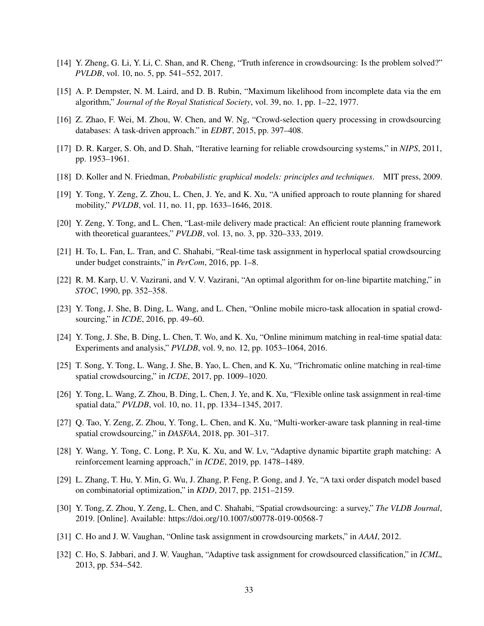- [14] Y. Zheng, G. Li, Y. Li, C. Shan, and R. Cheng, "Truth inference in crowdsourcing: Is the problem solved?" *PVLDB*, vol. 10, no. 5, pp. 541–552, 2017.
- [15] A. P. Dempster, N. M. Laird, and D. B. Rubin, "Maximum likelihood from incomplete data via the em algorithm," *Journal of the Royal Statistical Society*, vol. 39, no. 1, pp. 1–22, 1977.
- [16] Z. Zhao, F. Wei, M. Zhou, W. Chen, and W. Ng, "Crowd-selection query processing in crowdsourcing databases: A task-driven approach." in *EDBT*, 2015, pp. 397–408.
- [17] D. R. Karger, S. Oh, and D. Shah, "Iterative learning for reliable crowdsourcing systems," in *NIPS*, 2011, pp. 1953–1961.
- [18] D. Koller and N. Friedman, *Probabilistic graphical models: principles and techniques*. MIT press, 2009.
- [19] Y. Tong, Y. Zeng, Z. Zhou, L. Chen, J. Ye, and K. Xu, "A unified approach to route planning for shared mobility," *PVLDB*, vol. 11, no. 11, pp. 1633–1646, 2018.
- [20] Y. Zeng, Y. Tong, and L. Chen, "Last-mile delivery made practical: An efficient route planning framework with theoretical guarantees," *PVLDB*, vol. 13, no. 3, pp. 320–333, 2019.
- [21] H. To, L. Fan, L. Tran, and C. Shahabi, "Real-time task assignment in hyperlocal spatial crowdsourcing under budget constraints," in *PerCom*, 2016, pp. 1–8.
- [22] R. M. Karp, U. V. Vazirani, and V. V. Vazirani, "An optimal algorithm for on-line bipartite matching," in *STOC*, 1990, pp. 352–358.
- [23] Y. Tong, J. She, B. Ding, L. Wang, and L. Chen, "Online mobile micro-task allocation in spatial crowdsourcing," in *ICDE*, 2016, pp. 49–60.
- [24] Y. Tong, J. She, B. Ding, L. Chen, T. Wo, and K. Xu, "Online minimum matching in real-time spatial data: Experiments and analysis," *PVLDB*, vol. 9, no. 12, pp. 1053–1064, 2016.
- [25] T. Song, Y. Tong, L. Wang, J. She, B. Yao, L. Chen, and K. Xu, "Trichromatic online matching in real-time spatial crowdsourcing," in *ICDE*, 2017, pp. 1009–1020.
- [26] Y. Tong, L. Wang, Z. Zhou, B. Ding, L. Chen, J. Ye, and K. Xu, "Flexible online task assignment in real-time spatial data," *PVLDB*, vol. 10, no. 11, pp. 1334–1345, 2017.
- [27] Q. Tao, Y. Zeng, Z. Zhou, Y. Tong, L. Chen, and K. Xu, "Multi-worker-aware task planning in real-time spatial crowdsourcing," in *DASFAA*, 2018, pp. 301–317.
- [28] Y. Wang, Y. Tong, C. Long, P. Xu, K. Xu, and W. Lv, "Adaptive dynamic bipartite graph matching: A reinforcement learning approach," in *ICDE*, 2019, pp. 1478–1489.
- [29] L. Zhang, T. Hu, Y. Min, G. Wu, J. Zhang, P. Feng, P. Gong, and J. Ye, "A taxi order dispatch model based on combinatorial optimization," in *KDD*, 2017, pp. 2151–2159.
- [30] Y. Tong, Z. Zhou, Y. Zeng, L. Chen, and C. Shahabi, "Spatial crowdsourcing: a survey," *The VLDB Journal*, 2019. [Online]. Available: https://doi.org/10.1007/s00778-019-00568-7
- [31] C. Ho and J. W. Vaughan, "Online task assignment in crowdsourcing markets," in *AAAI*, 2012.
- [32] C. Ho, S. Jabbari, and J. W. Vaughan, "Adaptive task assignment for crowdsourced classification," in *ICML*, 2013, pp. 534–542.